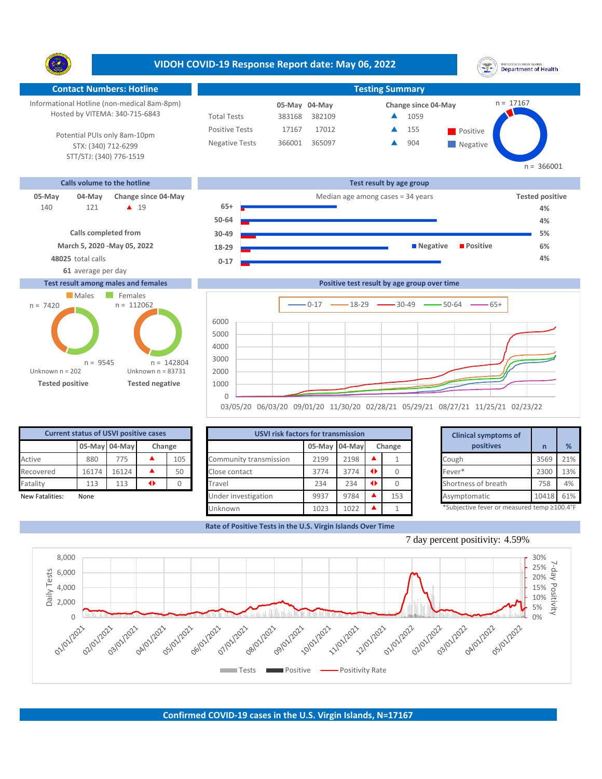**VIDOH COVID-19 Response Report date: May 06, 2022** UNITED STATES VIRGIN ISLANDS<br>Department of Health Ŋ. **Contact Numbers: Hotline Testing Summary Testing Summary** Informational Hotline (non-medical 8am-8pm)  $n = 17167$ **04-May 05-May Change since 04-May** Hosted by VITEMA: 340-715-6843 Total Tests 383168 382109 ▲ 1059 Positive Tests 17167 17012 **A** 155 **Positive**  $\blacktriangle$ 155 Potential PUIs only 8am-10pm Negative Tests 366001 365097 **4** 904  $\blacktriangle$ STX: (340) 712-6299 **Negative** STT/STJ: (340) 776-1519  $n = 366001$ **Calls volume to the hotline Test result by age group 05-May 04-May** Change since 04-May **Tested positive** Median age among cases = 34 years **Tested positive Tested positive** 121 **19 65+** 140 **4% 50-64 4% Calls completed from 30-49 5% March 5, 2020 -May 05, 2022 18-29 Negative Positive 6% 48025** total calls **4% 0-17 61** average per day **Test result among males and females Positive test result by age group over time** Males Females  $n = 112062$ n = 7420  $0-17$   $\longrightarrow$  18-29  $\longrightarrow$  30-49  $\longrightarrow$  50-64  $\longrightarrow$  65+ 6000 5000

**05-May 04-May Change** Fatality 113 113  $\rightarrow$ 0 50 **Current status of USVI positive cases**

**Tested positive Tested negative**

n = 9545

Unknown n = 83731

n = 142804

Unknown n = 202

| <b>Current status of USVI positive cases</b> |       |               |   |         | <b>USVI risk factors for transmission</b> |                         |      |               |           |                                             |                     |           |     |
|----------------------------------------------|-------|---------------|---|---------|-------------------------------------------|-------------------------|------|---------------|-----------|---------------------------------------------|---------------------|-----------|-----|
|                                              |       | 05-May 04-May |   | Change  |                                           | 05-May 04-May<br>Change |      |               | positives |                                             | %                   |           |     |
| Active                                       | 880   | 775           |   | 105     | Community transmission                    | 2199                    | 2198 |               |           |                                             | Cough               | 3569      | 21% |
| Recovered                                    | 16174 | 16124         |   | 50      | Close contact                             | 3774                    | 3774 | $\rightarrow$ |           |                                             | Fever*              | 2300      | 13% |
| Fatality                                     | 113   | 113           | ◆ |         | Travel                                    | 234                     | 234  | $\rightarrow$ |           |                                             | Shortness of breath | 758       | 4%  |
| New Fatalities:                              | None  |               |   |         | Under investigation                       | 9937                    | 9784 |               | 153       |                                             | Asymptomatic        | 10418 61% |     |
|                                              |       |               |   | Unknown | 1023                                      | 1022                    |      |               |           | *Subjective fever or measured temp ≥100.4°F |                     |           |     |

03/05/20 06/03/20 09/01/20 11/30/20 02/28/21 05/29/21 08/27/21 11/25/21 02/23/22

**Rate of Positive Tests in the U.S. Virgin Islands Over Time**